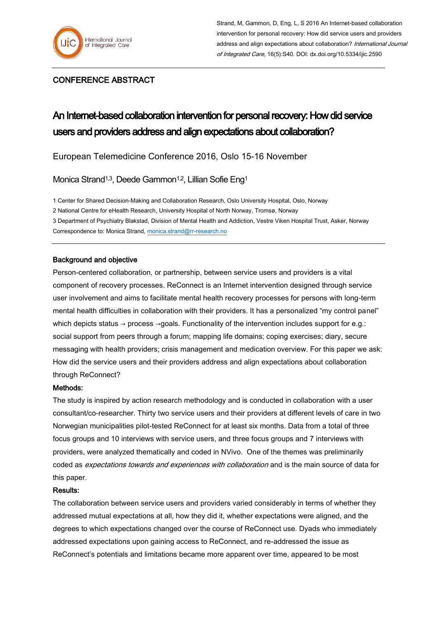

# CONFERENCE ABSTRACT

# An Internet-based collaboration intervention for personal recovery: How did service users and providers address and align expectations about collaboration?

European Telemedicine Conference 2016, Oslo 15-16 November

Monica Strand<sup>1,3</sup>, Deede Gammon<sup>1,2</sup>, Lillian Sofie Eng<sup>1</sup>

1 Center for Shared Decision-Making and Collaboration Research, Oslo University Hospital, Oslo, Norway 2 National Centre for eHealth Research, University Hospital of North Norway, Tromsø, Norway 3 Department of Psychiatry Blakstad, Division of Mental Health and Addiction, Vestre Viken Hospital Trust, Asker, Norway

Correspondence to: Monica Strand[, monica.strand@rr-research.no](mailto:monica.strand@rr-research.no)

## Background and objective

Person-centered collaboration, or partnership, between service users and providers is a vital component of recovery processes. ReConnect is an Internet intervention designed through service user involvement and aims to facilitate mental health recovery processes for persons with long-term mental health difficulties in collaboration with their providers. It has a personalized "my control panel" which depicts status → process →goals. Functionality of the intervention includes support for e.g.: social support from peers through a forum; mapping life domains; coping exercises; diary, secure messaging with health providers; crisis management and medication overview. For this paper we ask: How did the service users and their providers address and align expectations about collaboration through ReConnect?

## Methods:

The study is inspired by action research methodology and is conducted in collaboration with a user consultant/co-researcher. Thirty two service users and their providers at different levels of care in two Norwegian municipalities pilot-tested ReConnect for at least six months. Data from a total of three focus groups and 10 interviews with service users, and three focus groups and 7 interviews with providers, were analyzed thematically and coded in NVivo. One of the themes was preliminarily coded as *expectations towards and experiences with collaboration* and is the main source of data for this paper.

#### Results:

The collaboration between service users and providers varied considerably in terms of whether they addressed mutual expectations at all, how they did it, whether expectations were aligned, and the degrees to which expectations changed over the course of ReConnect use. Dyads who immediately addressed expectations upon gaining access to ReConnect, and re-addressed the issue as ReConnect's potentials and limitations became more apparent over time, appeared to be most